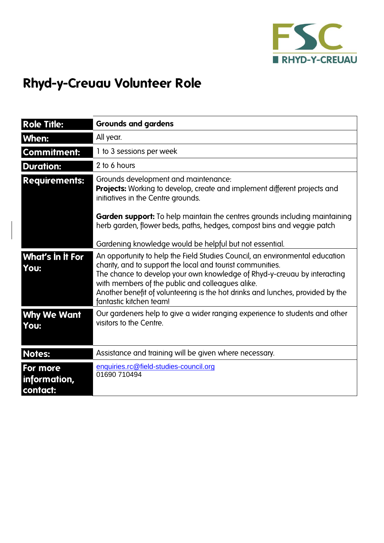

## **Rhyd-y-Creuau Volunteer Role**

| <b>Role Title:</b>                   | <b>Grounds and gardens</b>                                                                                                                                                                                                                                                                                                                                                              |
|--------------------------------------|-----------------------------------------------------------------------------------------------------------------------------------------------------------------------------------------------------------------------------------------------------------------------------------------------------------------------------------------------------------------------------------------|
| When:                                | All year.                                                                                                                                                                                                                                                                                                                                                                               |
| <b>Commitment:</b>                   | 1 to 3 sessions per week                                                                                                                                                                                                                                                                                                                                                                |
| <b>Duration:</b>                     | 2 to 6 hours                                                                                                                                                                                                                                                                                                                                                                            |
| <b>Requirements:</b>                 | Grounds development and maintenance:<br><b>Projects:</b> Working to develop, create and implement different projects and<br>initiatives in the Centre grounds.                                                                                                                                                                                                                          |
|                                      | <b>Garden support:</b> To help maintain the centres grounds including maintaining<br>herb garden, flower beds, paths, hedges, compost bins and veggie patch                                                                                                                                                                                                                             |
|                                      | Gardening knowledge would be helpful but not essential.                                                                                                                                                                                                                                                                                                                                 |
| What's in it For<br>You:             | An opportunity to help the Field Studies Council, an environmental education<br>charity, and to support the local and tourist communities.<br>The chance to develop your own knowledge of Rhyd-y-creuau by interacting<br>with members of the public and colleagues alike.<br>Another benefit of volunteering is the hot drinks and lunches, provided by the<br>fantastic kitchen team! |
| <b>Why We Want</b><br>You:           | Our gardeners help to give a wider ranging experience to students and other<br>visitors to the Centre.                                                                                                                                                                                                                                                                                  |
| <b>Notes:</b>                        | Assistance and training will be given where necessary.                                                                                                                                                                                                                                                                                                                                  |
| For more<br>information,<br>contact: | enquiries.rc@field-studies-council.org<br>01690 710494                                                                                                                                                                                                                                                                                                                                  |